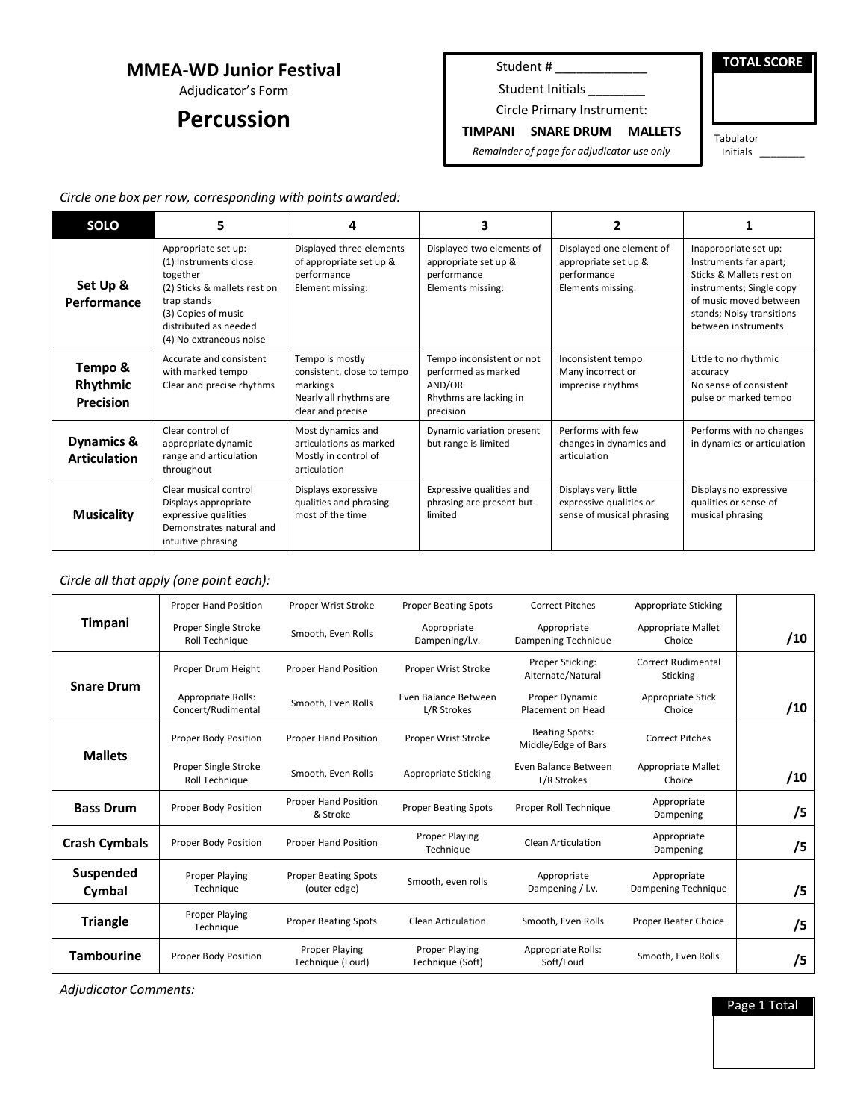## **MMEA-WD Junior Festival**

Adjudicator's Form

## **Percussion**

Student # \_\_\_\_\_\_\_\_\_\_\_\_\_\_\_\_\_

Student Initials \_\_\_\_\_\_\_

Circle Primary Instrument:

**TOTAL SCORE**

**TIMPANI SNARE DRUM MALLETS** *Remainder of page for adjudicator use only*

Tabulator Initials \_\_\_\_\_\_\_\_

*Circle one box per row, corresponding with points awarded:*

| <b>SOLO</b>                             | 5                                                                                                                                                                                  | 4                                                                                                        | 3                                                                                                 | 2                                                                                    | 1                                                                                                                                                                                     |
|-----------------------------------------|------------------------------------------------------------------------------------------------------------------------------------------------------------------------------------|----------------------------------------------------------------------------------------------------------|---------------------------------------------------------------------------------------------------|--------------------------------------------------------------------------------------|---------------------------------------------------------------------------------------------------------------------------------------------------------------------------------------|
| Set Up &<br>Performance                 | Appropriate set up:<br>(1) Instruments close<br>together<br>(2) Sticks & mallets rest on<br>trap stands<br>(3) Copies of music<br>distributed as needed<br>(4) No extraneous noise | Displayed three elements<br>of appropriate set up &<br>performance<br>Element missing:                   | Displayed two elements of<br>appropriate set up &<br>performance<br>Elements missing:             | Displayed one element of<br>appropriate set up &<br>performance<br>Elements missing: | Inappropriate set up:<br>Instruments far apart;<br>Sticks & Mallets rest on<br>instruments; Single copy<br>of music moved between<br>stands; Noisy transitions<br>between instruments |
| Tempo &<br>Rhythmic<br><b>Precision</b> | Accurate and consistent<br>with marked tempo<br>Clear and precise rhythms                                                                                                          | Tempo is mostly<br>consistent, close to tempo<br>markings<br>Nearly all rhythms are<br>clear and precise | Tempo inconsistent or not<br>performed as marked<br>AND/OR<br>Rhythms are lacking in<br>precision | Inconsistent tempo<br>Many incorrect or<br>imprecise rhythms                         | Little to no rhythmic<br>accuracy<br>No sense of consistent<br>pulse or marked tempo                                                                                                  |
| Dynamics &<br><b>Articulation</b>       | Clear control of<br>appropriate dynamic<br>range and articulation<br>throughout                                                                                                    | Most dynamics and<br>articulations as marked<br>Mostly in control of<br>articulation                     | Dynamic variation present<br>but range is limited                                                 | Performs with few<br>changes in dynamics and<br>articulation                         | Performs with no changes<br>in dynamics or articulation                                                                                                                               |
| <b>Musicality</b>                       | Clear musical control<br>Displays appropriate<br>expressive qualities<br>Demonstrates natural and<br>intuitive phrasing                                                            | Displays expressive<br>qualities and phrasing<br>most of the time                                        | Expressive qualities and<br>phrasing are present but<br>limited                                   | Displays very little<br>expressive qualities or<br>sense of musical phrasing         | Displays no expressive<br>qualities or sense of<br>musical phrasing                                                                                                                   |

#### *Circle all that apply (one point each):*

| Timpani              | <b>Proper Hand Position</b>              | Proper Wrist Stroke                         | <b>Proper Beating Spots</b>               | <b>Correct Pitches</b>                       | Appropriate Sticking                         |     |
|----------------------|------------------------------------------|---------------------------------------------|-------------------------------------------|----------------------------------------------|----------------------------------------------|-----|
|                      | Proper Single Stroke<br>Roll Technique   | Smooth, Even Rolls                          | Appropriate<br>Dampening/l.v.             | Appropriate<br>Dampening Technique           | Appropriate Mallet<br>Choice                 | /10 |
| <b>Snare Drum</b>    | Proper Drum Height                       | <b>Proper Hand Position</b>                 | Proper Wrist Stroke                       | Proper Sticking:<br>Alternate/Natural        | <b>Correct Rudimental</b><br><b>Sticking</b> |     |
|                      | Appropriate Rolls:<br>Concert/Rudimental | Smooth, Even Rolls                          | Even Balance Between<br>L/R Strokes       | Proper Dynamic<br>Placement on Head          | Appropriate Stick<br>Choice                  | /10 |
| <b>Mallets</b>       | Proper Body Position                     | Proper Hand Position                        | Proper Wrist Stroke                       | <b>Beating Spots:</b><br>Middle/Edge of Bars | <b>Correct Pitches</b>                       |     |
|                      | Proper Single Stroke<br>Roll Technique   | Smooth, Even Rolls                          | Appropriate Sticking                      | Even Balance Between<br>L/R Strokes          | Appropriate Mallet<br>Choice                 | /10 |
| <b>Bass Drum</b>     | Proper Body Position                     | Proper Hand Position<br>& Stroke            | <b>Proper Beating Spots</b>               | Proper Roll Technique                        | Appropriate<br>Dampening                     | /5  |
| <b>Crash Cymbals</b> | Proper Body Position                     | Proper Hand Position                        | Proper Playing<br>Technique               | Clean Articulation                           | Appropriate<br>Dampening                     | /5  |
| Suspended<br>Cymbal  | <b>Proper Playing</b><br>Technique       | <b>Proper Beating Spots</b><br>(outer edge) | Smooth, even rolls                        | Appropriate<br>Dampening / I.v.              | Appropriate<br>Dampening Technique           | /5  |
| <b>Triangle</b>      | <b>Proper Playing</b><br>Technique       | <b>Proper Beating Spots</b>                 | <b>Clean Articulation</b>                 | Smooth, Even Rolls                           | Proper Beater Choice                         | /5  |
| <b>Tambourine</b>    | Proper Body Position                     | <b>Proper Playing</b><br>Technique (Loud)   | <b>Proper Playing</b><br>Technique (Soft) | Appropriate Rolls:<br>Soft/Loud              | Smooth, Even Rolls                           | /5  |

*Adjudicator Comments:*

Page 1 Total